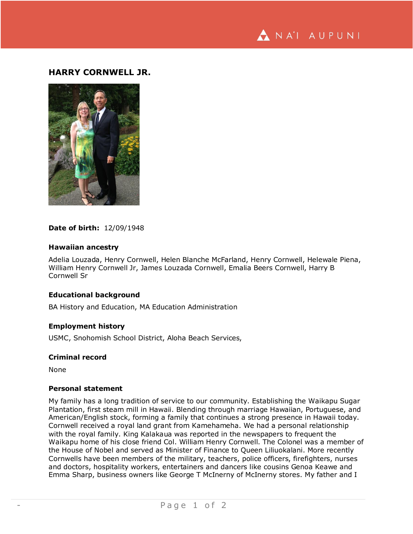NA'I AUPUNI

# **HARRY CORNWELL JR.**



### **Date of birth:** 12/09/1948

### **Hawaiian ancestry**

Adelia Louzada, Henry Cornwell, Helen Blanche McFarland, Henry Cornwell, Helewale Piena, William Henry Cornwell Jr, James Louzada Cornwell, Emalia Beers Cornwell, Harry B Cornwell Sr

# **Educational background**

BA History and Education, MA Education Administration

## **Employment history**

USMC, Snohomish School District, Aloha Beach Services,

### **Criminal record**

None

# **Personal statement**

My family has a long tradition of service to our community. Establishing the Waikapu Sugar Plantation, first steam mill in Hawaii. Blending through marriage Hawaiian, Portuguese, and American/English stock, forming a family that continues a strong presence in Hawaii today. Cornwell received a royal land grant from Kamehameha. We had a personal relationship with the royal family. King Kalakaua was reported in the newspapers to frequent the Waikapu home of his close friend Col. William Henry Cornwell. The Colonel was a member of the House of Nobel and served as Minister of Finance to Queen Liliuokalani. More recently Cornwells have been members of the military, teachers, police officers, firefighters, nurses and doctors, hospitality workers, entertainers and dancers like cousins Genoa Keawe and Emma Sharp, business owners like George T McInerny of McInerny stores. My father and I